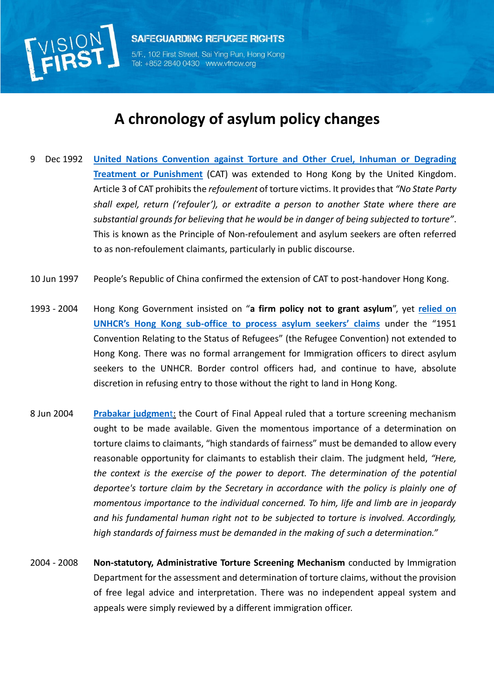

**SAFEGUARDING REFUGEE RIGHTS** 5/F., 102 First Street, Sai Ying Pun, Hong Kong

852 2840 0430 www.vfnow.org

## **A chronology of asylum policy changes**

- 9 Dec 1992 **[United Nations Convention against Torture and Other Cruel, Inhuman or Degrading](https://treaties.un.org/Pages/ViewDetails.aspx?src=TREATY&mtdsg_no=IV-9&chapter=4&lang=en)  [Treatment or Punishment](https://treaties.un.org/Pages/ViewDetails.aspx?src=TREATY&mtdsg_no=IV-9&chapter=4&lang=en)** (CAT) was extended to Hong Kong by the United Kingdom. Article 3 of CAT prohibits the *refoulement* of torture victims. It provides that *"No State Party shall expel, return ('refouler'), or extradite a person to another State where there are substantial grounds for believing that he would be in danger of being subjected to torture"*. This is known as the Principle of Non-refoulement and asylum seekers are often referred to as non-refoulement claimants, particularly in public discourse.
- 10 Jun 1997 People's Republic of China confirmed the extension of CAT to post-handover Hong Kong.
- 1993 2004 Hong Kong Government insisted on "**a firm policy not to grant asylum**", yet **[relied on](http://www.legco.gov.hk/yr05-06/english/panels/se/papers/se0731cb2-2994-01-e.pdf)  UNHCR's Hong Kong sub-[office to process asylum seekers' claims](http://www.legco.gov.hk/yr05-06/english/panels/se/papers/se0731cb2-2994-01-e.pdf)** under the "1951 Convention Relating to the Status of Refugees" (the Refugee Convention) not extended to Hong Kong. There was no formal arrangement for Immigration officers to direct asylum seekers to the UNHCR. Border control officers had, and continue to have, absolute discretion in refusing entry to those without the right to land in Hong Kong.
- 8 Jun 2004 **[Prabakar judgmen](http://www.vfnow.org/wp-content/uploads/2015/08/FACV000016_2003-Prabakar.pdf)**t: the Court of Final Appeal ruled that a torture screening mechanism ought to be made available. Given the momentous importance of a determination on torture claims to claimants, "high standards of fairness" must be demanded to allow every reasonable opportunity for claimants to establish their claim. The judgment held, *"Here, the context is the exercise of the power to deport. The determination of the potential deportee's torture claim by the Secretary in accordance with the policy is plainly one of momentous importance to the individual concerned. To him, life and limb are in jeopardy and his fundamental human right not to be subjected to torture is involved. Accordingly, high standards of fairness must be demanded in the making of such a determination."*
- 2004 2008 **Non-statutory, Administrative Torture Screening Mechanism** conducted by Immigration Department for the assessment and determination of torture claims, without the provision of free legal advice and interpretation. There was no independent appeal system and appeals were simply reviewed by a different immigration officer.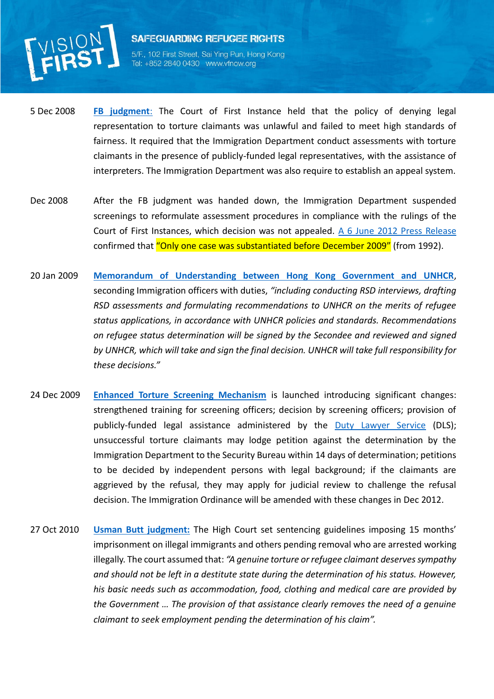

## **SAFEGUARDING REFUGEE RIGHTS**

5/F., 102 First Street, Sai Ying Pun, Hong Kong Tel: +852 2840 0430 www.vfnow.org

- 5 Dec 2008 **[FB judgment](http://www.vfnow.org/wp-content/uploads/2015/08/HCAL000051_2007-FB.pdf)**: The Court of First Instance held that the policy of denying legal representation to torture claimants was unlawful and failed to meet high standards of fairness. It required that the Immigration Department conduct assessments with torture claimants in the presence of publicly-funded legal representatives, with the assistance of interpreters. The Immigration Department was also require to establish an appeal system.
- Dec 2008 After the FB judgment was handed down, the Immigration Department suspended screenings to reformulate assessment procedures in compliance with the rulings of the Court of First Instances, which decision was not appealed. [A 6 June 2012 Press Release](http://www.info.gov.hk/gia/general/201206/06/P201206060256.htm) confirmed that "Only one case was substantiated before December 2009" (from 1992).
- <span id="page-1-0"></span>20 Jan 2009 **Memorandum of Understanding [between Hong Kong Government and UNHCR](http://www.vfnow.org/wp-content/uploads/2015/08/FACV000018_2011-C-KMF-BF.pdf)**, seconding Immigration officers with duties, *"including conducting RSD interviews, drafting RSD assessments and formulating recommendations to UNHCR on the merits of refugee status applications, in accordance with UNHCR policies and standards. Recommendations on refugee status determination will be signed by the Secondee and reviewed and signed by UNHCR, which will take and sign the final decision. UNHCR will take full responsibility for these decisions."*
- 24 Dec 2009 **[Enhanced Torture Screening Mechanism](http://www.vfnow.org/wp-content/uploads/2015/08/HKSAR-launches-Enhanced-Torture-Screening-Mechanism-1Dec2009.pdf)** is launched introducing significant changes: strengthened training for screening officers; decision by screening officers; provision of publicly-funded legal assistance administered by the [Duty Lawyer Service](http://www.dutylawyer.org.hk/en/torture/torture.asp) (DLS); unsuccessful torture claimants may lodge petition against the determination by the Immigration Department to the Security Bureau within 14 days of determination; petitions to be decided by independent persons with legal background; if the claimants are aggrieved by the refusal, they may apply for judicial review to challenge the refusal decision. The Immigration Ordinance will be amended with these changes in Dec 2012.
- 27 Oct 2010 **[Usman Butt judgment:](http://www.vfnow.org/wp-content/uploads/2014/10/Usman-Butt-HCMA000070_2010.pdf)** The High Court set sentencing guidelines imposing 15 months' imprisonment on illegal immigrants and others pending removal who are arrested working illegally. The court assumed that: *"A genuine torture or refugee claimant deserves sympathy and should not be left in a destitute state during the determination of his status. However, his basic needs such as accommodation, food, clothing and medical care are provided by the Government … The provision of that assistance clearly removes the need of a genuine claimant to seek employment pending the determination of his claim".*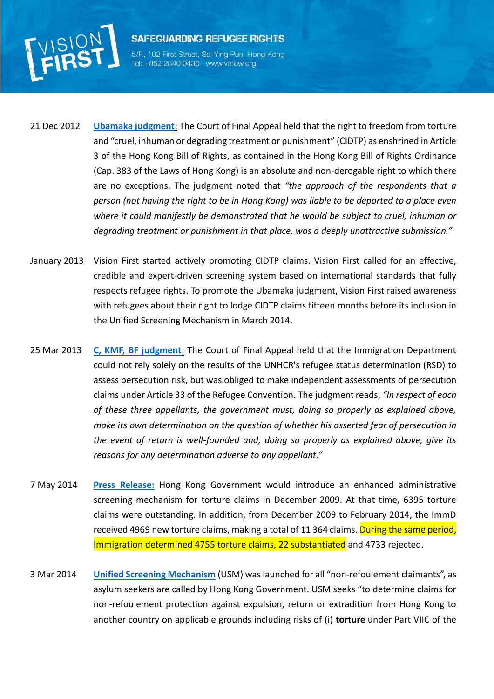

5/F., 102 First Street, Sai Ying Pun, Hong Kong Tel: +852 2840 0430 www.vfnow.org

- 21 Dec 2012 **[Ubamaka judgment](http://www.vfnow.org/wp-content/uploads/2015/08/FACV000015_2011-Ubamaka.pdf)**: The Court of Final Appeal held that the right to freedom from torture and "cruel, inhuman or degrading treatment or punishment" (CIDTP) as enshrined in Article 3 of the Hong Kong Bill of Rights, as contained in the Hong Kong Bill of Rights Ordinance (Cap. 383 of the Laws of Hong Kong) is an absolute and non-derogable right to which there are no exceptions. The judgment noted that *"the approach of the respondents that a person (not having the right to be in Hong Kong) was liable to be deported to a place even where it could manifestly be demonstrated that he would be subject to cruel, inhuman or degrading treatment or punishment in that place, was a deeply unattractive submission."*
- January 2013 Vision First started actively promoting CIDTP claims. Vision First called for an effective, credible and expert-driven screening system based on international standards that fully respects refugee rights. To promote the Ubamaka judgment, Vision First raised awareness with refugees about their right to lodge CIDTP claims fifteen months before its inclusion in the Unified Screening Mechanism in March 2014.
- 25 Mar 2013 **[C, KMF, BF judgment](http://www.vfnow.org/wp-content/uploads/2015/08/FACV000018_2011-C-KMF-BF.pdf)**: The Court of Final Appeal held that the Immigration Department could not rely solely on the results of the UNHCR's refugee status determination (RSD) to assess persecution risk, but was obliged to make independent assessments of persecution claims under Article 33 of the Refugee Convention. The judgment reads, *"In respect of each of these three appellants, the government must, doing so properly as explained above, make its own determination on the question of whether his asserted fear of persecution in the event of return is well-founded and, doing so properly as explained above, give its reasons for any determination adverse to any appellant."*
- <span id="page-2-0"></span>7 May 2014 **[Press Release:](http://www.info.gov.hk/gia/general/201405/07/P201405070624.htm)** Hong Kong Government would introduce an enhanced administrative screening mechanism for torture claims in December 2009. At that time, 6395 torture claims were outstanding. In addition, from December 2009 to February 2014, the ImmD received 4969 new torture claims, making a total of 11 364 claims. During the same period, Immigration determined 4755 torture claims, 22 substantiated and 4733 rejected.
- 3 Mar 2014 **Unified [Screening Mechanism](http://www.info.gov.hk/gia/general/201402/07/P201402070307.htm)** (USM) was launched for all "non-refoulement claimants", as asylum seekers are called by Hong Kong Government. USM seeks "to determine claims for non-refoulement protection against expulsion, return or extradition from Hong Kong to another country on applicable grounds including risks of (i) **torture** under Part VIIC of the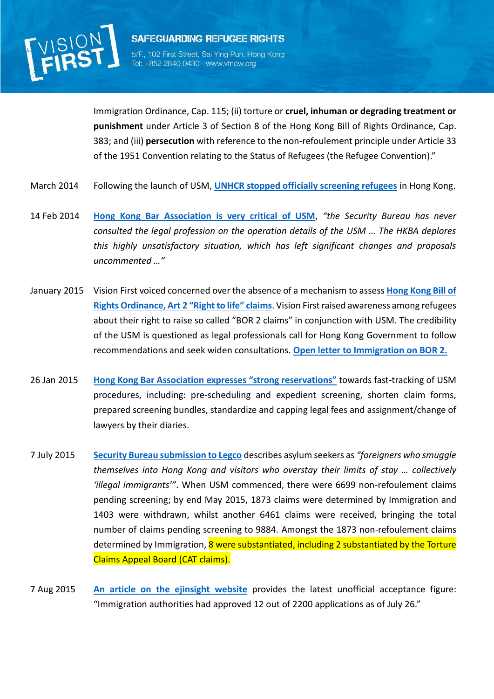

5/F., 102 First Street, Sai Ying Pun, Hong Kong Tel: +852 2840 0430 www.vfnow.org

**SAFEGUARDING REFUGEE RIGHTS** 

Immigration Ordinance, Cap. 115; (ii) torture or **cruel, inhuman or degrading treatment or punishment** under Article 3 of Section 8 of the Hong Kong Bill of Rights Ordinance, Cap. 383; and (iii) **persecution** with reference to the non-refoulement principle under Article 33 of the 1951 Convention relating to the Status of Refugees (the Refugee Convention)."

- March 2014 Following the launch of USM, **[UNHCR stopped officially screening refugees](http://www.vfnow.org/8795/u-n-loses-role-asylum-claims/)** in Hong Kong.
- 14 Feb 2014 **[Hong Kong Bar Association is very critical of USM](http://www.vfnow.org/wp-content/uploads/2014/02/HKBA-press-release-on-USM-14-Feb-2014.pdf)**, *"the Security Bureau has never consulted the legal profession on the operation details of the USM … The HKBA deplores this highly unsatisfactory situation, which has left significant changes and proposals uncommented …"*
- January 2015 Vision First voiced concerned over the absence of a mechanism to assess **[Hong Kong Bill of](http://www.vfnow.org/7513/vision-first-launches-bor-2-claim/)  [Rights Ordinance, Art](http://www.vfnow.org/7513/vision-first-launches-bor-2-claim/) 2 "Right to life" claims**. Vision First raised awareness among refugees about their right to raise so called "BOR 2 claims" in conjunction with USM. The credibility of the USM is questioned as legal professionals call for Hong Kong Government to follow recommendations and seek widen consultations. **[Open letter to Immigration on BOR 2.](http://www.vfnow.org/7691/open-letter-hong-kong-immigration-right-life-claims/)**
- 26 Jan 2015 **Hong Kong Bar Association [expresses "strong reservations"](http://www.vfnow.org/wp-content/uploads/2015/03/HKBA-on-proposals-to-enhance-USM-26Jan2015.pdf)** towards fast-tracking of USM procedures, including: pre-scheduling and expedient screening, shorten claim forms, prepared screening bundles, standardize and capping legal fees and assignment/change of lawyers by their diaries.
- 7 July 2015 **[Security Bureau submission to Legco](http://www.vfnow.org/wp-content/uploads/2015/07/Legco-Security-Panel-7July2015-SB-brief.pdf)** describes asylum seekers as *"foreigners who smuggle themselves into Hong Kong and visitors who overstay their limits of stay … collectively 'illegal immigrants'"*. When USM commenced, there were 6699 non-refoulement claims pending screening; by end May 2015, 1873 claims were determined by Immigration and 1403 were withdrawn, whilst another 6461 claims were received, bringing the total number of claims pending screening to 9884. Amongst the 1873 non-refoulement claims determined by Immigration, 8 were substantiated, including 2 substantiated by the Torture Claims Appeal Board (CAT claims).
- <span id="page-3-0"></span>7 Aug 2015 **[An article on the ejinsight website](http://www.ejinsight.com/20150807-thousands-of-refugee-torture-claims-pending/)** provides the latest unofficial acceptance figure: "Immigration authorities had approved 12 out of 2200 applications as of July 26."